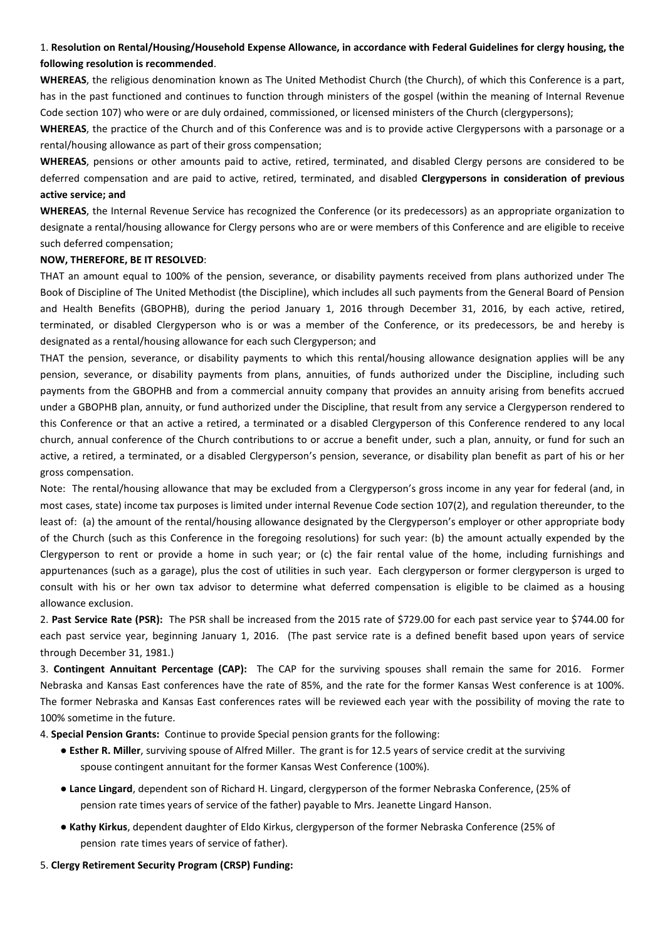## 1. **Resolution on Rental/Housing/Household Expense Allowance, in accordance with Federal Guidelines for clergy housing, the following resolution is recommended**.

**WHEREAS**, the religious denomination known as The United Methodist Church (the Church), of which this Conference is a part, has in the past functioned and continues to function through ministers of the gospel (within the meaning of Internal Revenue Code section 107) who were or are duly ordained, commissioned, or licensed ministers of the Church (clergypersons);

**WHEREAS**, the practice of the Church and of this Conference was and is to provide active Clergypersons with a parsonage or a rental/housing allowance as part of their gross compensation;

**WHEREAS**, pensions or other amounts paid to active, retired, terminated, and disabled Clergy persons are considered to be deferred compensation and are paid to active, retired, terminated, and disabled **Clergypersons in consideration of previous active service; and** 

**WHEREAS**, the Internal Revenue Service has recognized the Conference (or its predecessors) as an appropriate organization to designate a rental/housing allowance for Clergy persons who are or were members of this Conference and are eligible to receive such deferred compensation;

## **NOW, THEREFORE, BE IT RESOLVED**:

THAT an amount equal to 100% of the pension, severance, or disability payments received from plans authorized under The Book of Discipline of The United Methodist (the Discipline), which includes all such payments from the General Board of Pension and Health Benefits (GBOPHB), during the period January 1, 2016 through December 31, 2016, by each active, retired, terminated, or disabled Clergyperson who is or was a member of the Conference, or its predecessors, be and hereby is designated as a rental/housing allowance for each such Clergyperson; and

THAT the pension, severance, or disability payments to which this rental/housing allowance designation applies will be any pension, severance, or disability payments from plans, annuities, of funds authorized under the Discipline, including such payments from the GBOPHB and from a commercial annuity company that provides an annuity arising from benefits accrued under a GBOPHB plan, annuity, or fund authorized under the Discipline, that result from any service a Clergyperson rendered to this Conference or that an active a retired, a terminated or a disabled Clergyperson of this Conference rendered to any local church, annual conference of the Church contributions to or accrue a benefit under, such a plan, annuity, or fund for such an active, a retired, a terminated, or a disabled Clergyperson's pension, severance, or disability plan benefit as part of his or her gross compensation.

Note: The rental/housing allowance that may be excluded from a Clergyperson's gross income in any year for federal (and, in most cases, state) income tax purposes is limited under internal Revenue Code section 107(2), and regulation thereunder, to the least of: (a) the amount of the rental/housing allowance designated by the Clergyperson's employer or other appropriate body of the Church (such as this Conference in the foregoing resolutions) for such year: (b) the amount actually expended by the Clergyperson to rent or provide a home in such year; or (c) the fair rental value of the home, including furnishings and appurtenances (such as a garage), plus the cost of utilities in such year. Each clergyperson or former clergyperson is urged to consult with his or her own tax advisor to determine what deferred compensation is eligible to be claimed as a housing allowance exclusion.

2. **Past Service Rate (PSR):** The PSR shall be increased from the 2015 rate of \$729.00 for each past service year to \$744.00 for each past service year, beginning January 1, 2016. (The past service rate is a defined benefit based upon years of service through December 31, 1981.)

3. **Contingent Annuitant Percentage (CAP):** The CAP for the surviving spouses shall remain the same for 2016. Former Nebraska and Kansas East conferences have the rate of 85%, and the rate for the former Kansas West conference is at 100%. The former Nebraska and Kansas East conferences rates will be reviewed each year with the possibility of moving the rate to 100% sometime in the future.

4. **Special Pension Grants:** Continue to provide Special pension grants for the following:

- **Esther R. Miller**, surviving spouse of Alfred Miller. The grant is for 12.5 years of service credit at the surviving spouse contingent annuitant for the former Kansas West Conference (100%).
- **Lance Lingard**, dependent son of Richard H. Lingard, clergyperson of the former Nebraska Conference, (25% of pension rate times years of service of the father) payable to Mrs. Jeanette Lingard Hanson.
- **Kathy Kirkus**, dependent daughter of Eldo Kirkus, clergyperson of the former Nebraska Conference (25% of pension rate times years of service of father).
- 5. **Clergy Retirement Security Program (CRSP) Funding:**